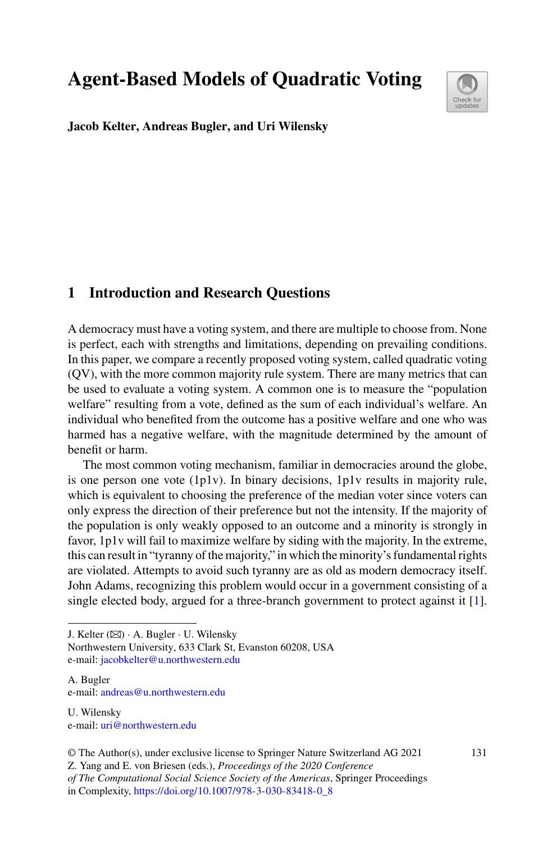**Agent-Based Models of Quadratic Voting**



**Jacob Kelter, Andreas Bugler, and Uri Wilensky**

# **1 Introduction and Research Questions**

A democracy must have a voting system, and there are multiple to choose from. None is perfect, each with strengths and limitations, depending on prevailing conditions. In this paper, we compare a recently proposed voting system, called quadratic voting (QV), with the more common majority rule system. There are many metrics that can be used to evaluate a voting system. A common one is to measure the "population welfare" resulting from a vote, defined as the sum of each individual's welfare. An individual who benefited from the outcome has a positive welfare and one who was harmed has a negative welfare, with the magnitude determined by the amount of benefit or harm.

The most common voting mechanism, familiar in democracies around the globe, is one person one vote (1p1v). In binary decisions, 1p1v results in majority rule, which is equivalent to choosing the preference of the median voter since voters can only express the direction of their preference but not the intensity. If the majority of the population is only weakly opposed to an outcome and a minority is strongly in favor, 1p1v will fail to maximize welfare by siding with the majority. In the extreme, this can result in "tyranny of the majority," in which the minority's fundamental rights are violated. Attempts to avoid such tyranny are as old as modern democracy itself. John Adams, recognizing this problem would occur in a government consisting of a single elected body, argued for a three-branch government to protect against it [\[1](#page-11-0)].

J. Kelter  $(\boxtimes) \cdot A$ . Bugler  $\cdot U$ . Wilensky

Northwestern University, 633 Clark St, Evanston 60208, USA e-mail: [jacobkelter@u.northwestern.edu](mailto:jacobkelter@u.northwestern.edu)

- A. Bugler e-mail: [andreas@u.northwestern.edu](mailto:andreas@u.northwestern.edu)
- U. Wilensky e-mail: [uri@northwestern.edu](mailto:uri@northwestern.edu)

Z. Yang and E. von Briesen (eds.), *Proceedings of the 2020 Conference*

<sup>©</sup> The Author(s), under exclusive license to Springer Nature Switzerland AG 2021

*of The Computational Social Science Society of the Americas*, Springer Proceedings in Complexity, [https://doi.org/10.1007/978-3-030-83418-0\\_8](https://doi.org/10.1007/978-3-030-83418-0_8)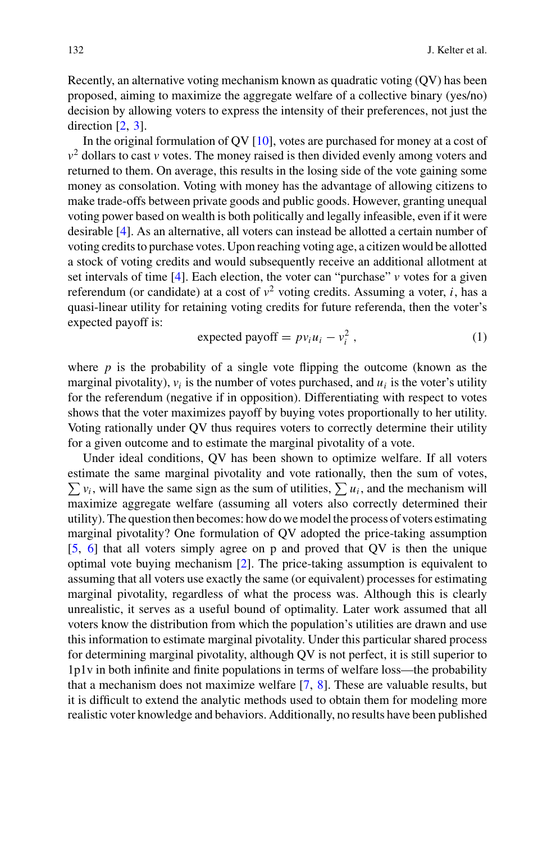Recently, an alternative voting mechanism known as quadratic voting (QV) has been proposed, aiming to maximize the aggregate welfare of a collective binary (yes/no) decision by allowing voters to express the intensity of their preferences, not just the direction [\[2,](#page-11-1) [3\]](#page-11-2).

In the original formulation of  $\overline{O}V$  [\[10\]](#page-11-3), votes are purchased for money at a cost of  $v^2$  dollars to cast *v* votes. The money raised is then divided evenly among voters and returned to them. On average, this results in the losing side of the vote gaining some money as consolation. Voting with money has the advantage of allowing citizens to make trade-offs between private goods and public goods. However, granting unequal voting power based on wealth is both politically and legally infeasible, even if it were desirable [\[4](#page-11-4)]. As an alternative, all voters can instead be allotted a certain number of voting credits to purchase votes. Upon reaching voting age, a citizen would be allotted a stock of voting credits and would subsequently receive an additional allotment at set intervals of time  $[4]$  $[4]$ . Each election, the voter can "purchase"  $\nu$  votes for a given referendum (or candidate) at a cost of  $v^2$  voting credits. Assuming a voter, *i*, has a quasi-linear utility for retaining voting credits for future referenda, then the voter's expected payoff is:

<span id="page-1-0"></span>
$$
expected payoff = p v_i u_i - v_i^2, \qquad (1)
$$

where  $p$  is the probability of a single vote flipping the outcome (known as the marginal pivotality),  $v_i$  is the number of votes purchased, and  $u_i$  is the voter's utility for the referendum (negative if in opposition). Differentiating with respect to votes shows that the voter maximizes payoff by buying votes proportionally to her utility. Voting rationally under QV thus requires voters to correctly determine their utility for a given outcome and to estimate the marginal pivotality of a vote.

Under ideal conditions, QV has been shown to optimize welfare. If all voters estimate the same marginal pivotality and vote rationally, then the sum of votes,  $\sum v_i$ , will have the same sign as the sum of utilities,  $\sum u_i$ , and the mechanism will maximize aggregate welfare (assuming all voters also correctly determined their utility). The question then becomes: how do we model the process of voters estimating marginal pivotality? One formulation of QV adopted the price-taking assumption [\[5,](#page-11-5) [6](#page-11-6)] that all voters simply agree on p and proved that QV is then the unique optimal vote buying mechanism [\[2](#page-11-1)]. The price-taking assumption is equivalent to assuming that all voters use exactly the same (or equivalent) processes for estimating marginal pivotality, regardless of what the process was. Although this is clearly unrealistic, it serves as a useful bound of optimality. Later work assumed that all voters know the distribution from which the population's utilities are drawn and use this information to estimate marginal pivotality. Under this particular shared process for determining marginal pivotality, although QV is not perfect, it is still superior to 1p1v in both infinite and finite populations in terms of welfare loss—the probability that a mechanism does not maximize welfare [\[7,](#page-11-7) [8\]](#page-11-8). These are valuable results, but it is difficult to extend the analytic methods used to obtain them for modeling more realistic voter knowledge and behaviors. Additionally, no results have been published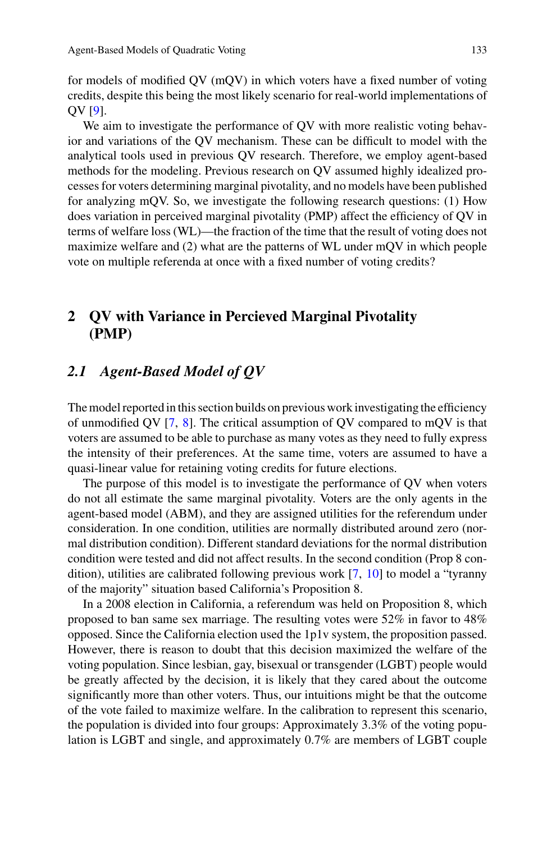for models of modified QV (mQV) in which voters have a fixed number of voting credits, despite this being the most likely scenario for real-world implementations of QV [\[9\]](#page-11-9).

We aim to investigate the performance of QV with more realistic voting behavior and variations of the QV mechanism. These can be difficult to model with the analytical tools used in previous QV research. Therefore, we employ agent-based methods for the modeling. Previous research on QV assumed highly idealized processes for voters determining marginal pivotality, and no models have been published for analyzing mQV. So, we investigate the following research questions: (1) How does variation in perceived marginal pivotality (PMP) affect the efficiency of QV in terms of welfare loss (WL)—the fraction of the time that the result of voting does not maximize welfare and (2) what are the patterns of WL under mQV in which people vote on multiple referenda at once with a fixed number of voting credits?

# **2 QV with Variance in Percieved Marginal Pivotality (PMP)**

#### <span id="page-2-0"></span>*2.1 Agent-Based Model of QV*

The model reported in this section builds on previous work investigating the efficiency of unmodified QV  $[7, 8]$  $[7, 8]$  $[7, 8]$  $[7, 8]$ . The critical assumption of QV compared to mQV is that voters are assumed to be able to purchase as many votes as they need to fully express the intensity of their preferences. At the same time, voters are assumed to have a quasi-linear value for retaining voting credits for future elections.

The purpose of this model is to investigate the performance of QV when voters do not all estimate the same marginal pivotality. Voters are the only agents in the agent-based model (ABM), and they are assigned utilities for the referendum under consideration. In one condition, utilities are normally distributed around zero (normal distribution condition). Different standard deviations for the normal distribution condition were tested and did not affect results. In the second condition (Prop 8 condition), utilities are calibrated following previous work [\[7,](#page-11-7) [10\]](#page-11-3) to model a "tyranny of the majority" situation based California's Proposition 8.

In a 2008 election in California, a referendum was held on Proposition 8, which proposed to ban same sex marriage. The resulting votes were 52% in favor to 48% opposed. Since the California election used the 1p1v system, the proposition passed. However, there is reason to doubt that this decision maximized the welfare of the voting population. Since lesbian, gay, bisexual or transgender (LGBT) people would be greatly affected by the decision, it is likely that they cared about the outcome significantly more than other voters. Thus, our intuitions might be that the outcome of the vote failed to maximize welfare. In the calibration to represent this scenario, the population is divided into four groups: Approximately 3.3% of the voting population is LGBT and single, and approximately 0.7% are members of LGBT couple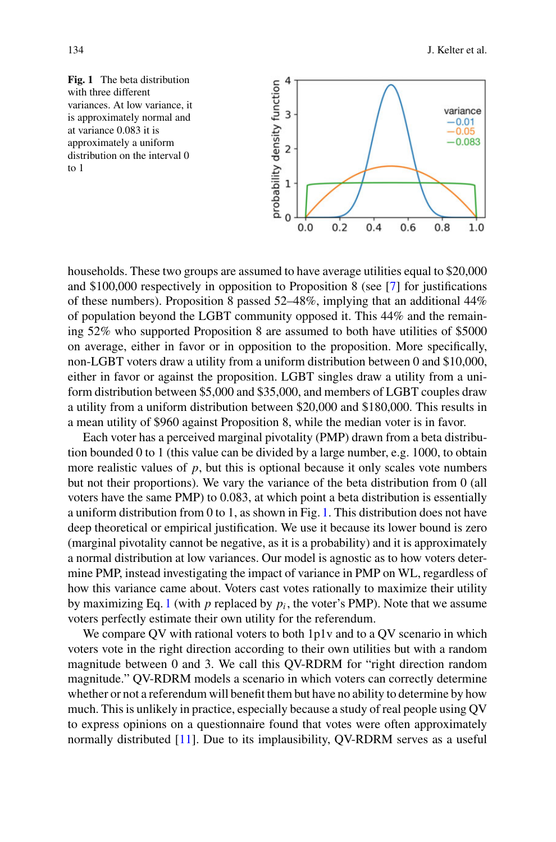<span id="page-3-0"></span>



households. These two groups are assumed to have average utilities equal to \$20,000 and \$100,000 respectively in opposition to Proposition 8 (see [\[7](#page-11-7)] for justifications of these numbers). Proposition 8 passed 52–48%, implying that an additional 44% of population beyond the LGBT community opposed it. This 44% and the remaining 52% who supported Proposition 8 are assumed to both have utilities of \$5000 on average, either in favor or in opposition to the proposition. More specifically, non-LGBT voters draw a utility from a uniform distribution between 0 and \$10,000, either in favor or against the proposition. LGBT singles draw a utility from a uniform distribution between \$5,000 and \$35,000, and members of LGBT couples draw a utility from a uniform distribution between \$20,000 and \$180,000. This results in a mean utility of \$960 against Proposition 8, while the median voter is in favor.

Each voter has a perceived marginal pivotality (PMP) drawn from a beta distribution bounded 0 to 1 (this value can be divided by a large number, e.g. 1000, to obtain more realistic values of  $p$ , but this is optional because it only scales vote numbers but not their proportions). We vary the variance of the beta distribution from 0 (all voters have the same PMP) to 0.083, at which point a beta distribution is essentially a uniform distribution from 0 to 1, as shown in Fig. [1.](#page-3-0) This distribution does not have deep theoretical or empirical justification. We use it because its lower bound is zero (marginal pivotality cannot be negative, as it is a probability) and it is approximately a normal distribution at low variances. Our model is agnostic as to how voters determine PMP, instead investigating the impact of variance in PMP on WL, regardless of how this variance came about. Voters cast votes rationally to maximize their utility by maximizing Eq. [1](#page-1-0) (with  $p$  replaced by  $p_i$ , the voter's PMP). Note that we assume voters perfectly estimate their own utility for the referendum.

We compare OV with rational voters to both 1p1v and to a OV scenario in which voters vote in the right direction according to their own utilities but with a random magnitude between 0 and 3. We call this QV-RDRM for "right direction random magnitude." QV-RDRM models a scenario in which voters can correctly determine whether or not a referendum will benefit them but have no ability to determine by how much. This is unlikely in practice, especially because a study of real people using QV to express opinions on a questionnaire found that votes were often approximately normally distributed [\[11\]](#page-11-10). Due to its implausibility, QV-RDRM serves as a useful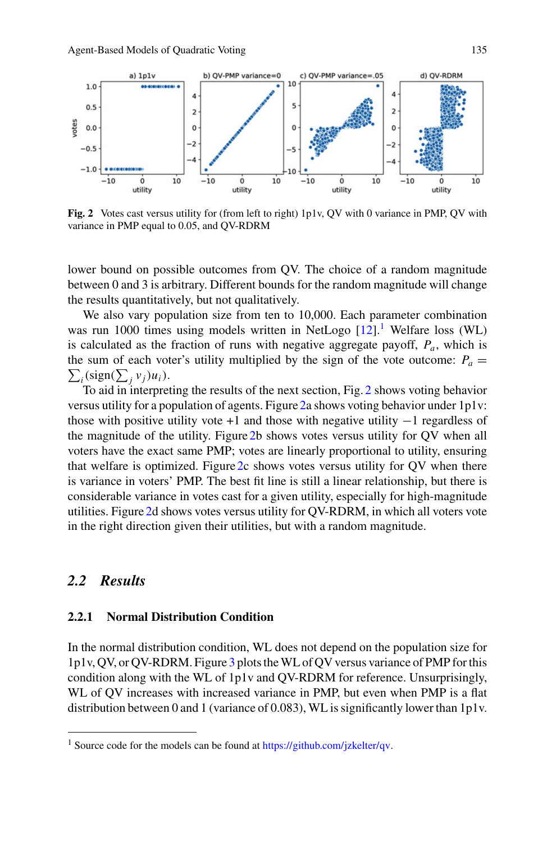

<span id="page-4-1"></span>**Fig. 2** Votes cast versus utility for (from left to right) 1p1v, QV with 0 variance in PMP, QV with variance in PMP equal to 0.05, and QV-RDRM

lower bound on possible outcomes from QV. The choice of a random magnitude between 0 and 3 is arbitrary. Different bounds for the random magnitude will change the results quantitatively, but not qualitatively.

We also vary population size from ten to 10,000. Each parameter combination was run [1](#page-4-0)000 times using models written in NetLogo  $[12]$ .<sup>1</sup> Welfare loss (WL) is calculated as the fraction of runs with negative aggregate payoff, *Pa*, which is the sum of each voter's utility multiplied by the sign of the vote outcome:  $P_a =$  $\sum_i (\text{sign}(\sum_j v_j)u_i).$ 

To aid in interpreting the results of the next section, Fig. [2](#page-4-1) shows voting behavior versus utility for a population of agents. Figure [2a](#page-4-1) shows voting behavior under 1p1v: those with positive utility vote  $+1$  and those with negative utility  $-1$  regardless of the magnitude of the utility. Figure [2b](#page-4-1) shows votes versus utility for QV when all voters have the exact same PMP; votes are linearly proportional to utility, ensuring that welfare is optimized. Figure [2c](#page-4-1) shows votes versus utility for QV when there is variance in voters' PMP. The best fit line is still a linear relationship, but there is considerable variance in votes cast for a given utility, especially for high-magnitude utilities. Figure [2d](#page-4-1) shows votes versus utility for QV-RDRM, in which all voters vote in the right direction given their utilities, but with a random magnitude.

#### *2.2 Results*

#### **2.2.1 Normal Distribution Condition**

In the normal distribution condition, WL does not depend on the population size for 1p1v, QV, or QV-RDRM. Figure [3](#page-5-0) plots theWL of QV versus variance of PMP for this condition along with the WL of 1p1v and QV-RDRM for reference. Unsurprisingly, WL of QV increases with increased variance in PMP, but even when PMP is a flat distribution between 0 and 1 (variance of 0.083), WL is significantly lower than 1p1v.

<span id="page-4-0"></span><sup>&</sup>lt;sup>1</sup> Source code for the models can be found at [https://github.com/jzkelter/qv.](https://github.com/jzkelter/qv)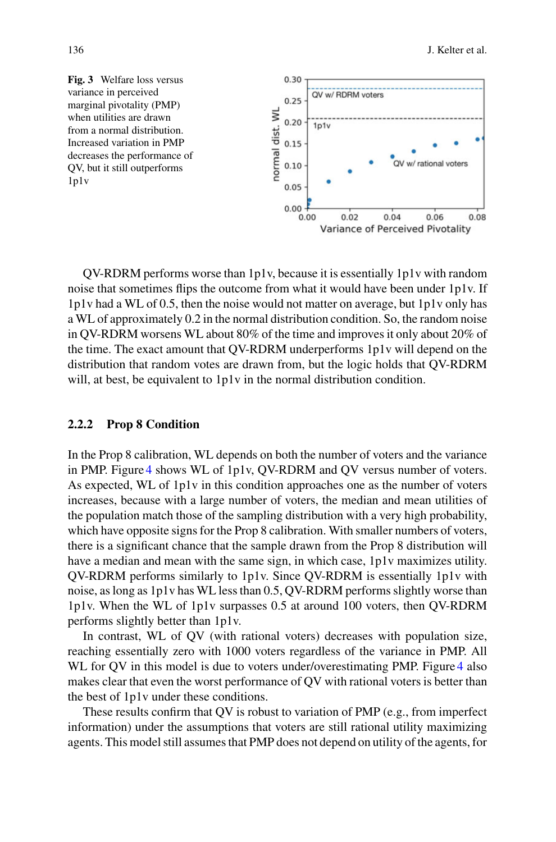<span id="page-5-0"></span>

QV-RDRM performs worse than 1p1v, because it is essentially 1p1v with random noise that sometimes flips the outcome from what it would have been under 1p1v. If 1p1v had a WL of 0.5, then the noise would not matter on average, but 1p1v only has a WL of approximately 0.2 in the normal distribution condition. So, the random noise in QV-RDRM worsens WL about 80% of the time and improves it only about 20% of the time. The exact amount that QV-RDRM underperforms 1p1v will depend on the distribution that random votes are drawn from, but the logic holds that QV-RDRM will, at best, be equivalent to 1p1v in the normal distribution condition.

#### **2.2.2 Prop 8 Condition**

In the Prop 8 calibration, WL depends on both the number of voters and the variance in PMP. Figure [4](#page-6-0) shows WL of 1p1v, QV-RDRM and QV versus number of voters. As expected, WL of 1p1v in this condition approaches one as the number of voters increases, because with a large number of voters, the median and mean utilities of the population match those of the sampling distribution with a very high probability, which have opposite signs for the Prop 8 calibration. With smaller numbers of voters, there is a significant chance that the sample drawn from the Prop 8 distribution will have a median and mean with the same sign, in which case, 1p1v maximizes utility. QV-RDRM performs similarly to 1p1v. Since QV-RDRM is essentially 1p1v with noise, as long as 1p1v has WL less than 0.5, QV-RDRM performs slightly worse than 1p1v. When the WL of 1p1v surpasses 0.5 at around 100 voters, then QV-RDRM performs slightly better than 1p1v.

In contrast, WL of QV (with rational voters) decreases with population size, reaching essentially zero with 1000 voters regardless of the variance in PMP. All WL for QV in this model is due to voters under/overestimating PMP. Figure [4](#page-6-0) also makes clear that even the worst performance of QV with rational voters is better than the best of 1p1v under these conditions.

These results confirm that QV is robust to variation of PMP (e.g., from imperfect information) under the assumptions that voters are still rational utility maximizing agents. This model still assumes that PMP does not depend on utility of the agents, for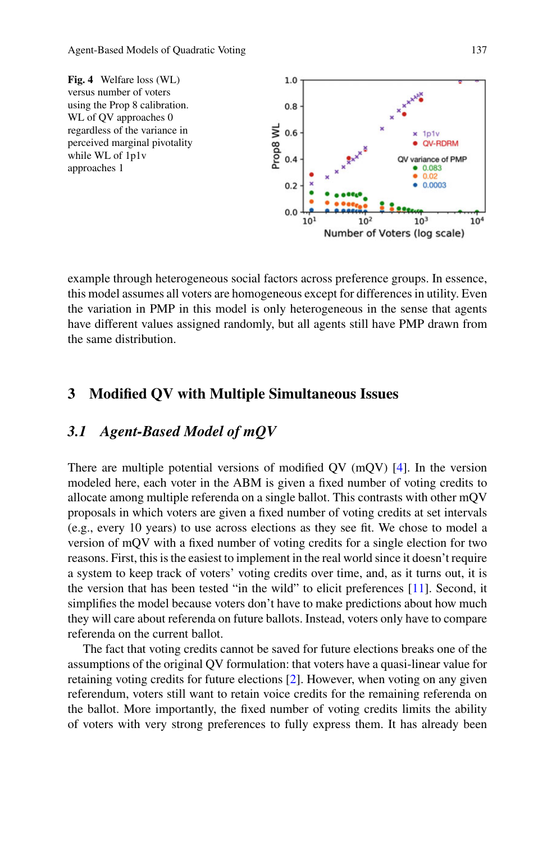<span id="page-6-0"></span>

example through heterogeneous social factors across preference groups. In essence, this model assumes all voters are homogeneous except for differences in utility. Even the variation in PMP in this model is only heterogeneous in the sense that agents have different values assigned randomly, but all agents still have PMP drawn from the same distribution.

# **3 Modified QV with Multiple Simultaneous Issues**

## *3.1 Agent-Based Model of mQV*

There are multiple potential versions of modified QV (mQV) [\[4\]](#page-11-4). In the version modeled here, each voter in the ABM is given a fixed number of voting credits to allocate among multiple referenda on a single ballot. This contrasts with other mQV proposals in which voters are given a fixed number of voting credits at set intervals (e.g., every 10 years) to use across elections as they see fit. We chose to model a version of mQV with a fixed number of voting credits for a single election for two reasons. First, this is the easiest to implement in the real world since it doesn't require a system to keep track of voters' voting credits over time, and, as it turns out, it is the version that has been tested "in the wild" to elicit preferences [\[11\]](#page-11-10). Second, it simplifies the model because voters don't have to make predictions about how much they will care about referenda on future ballots. Instead, voters only have to compare referenda on the current ballot.

The fact that voting credits cannot be saved for future elections breaks one of the assumptions of the original QV formulation: that voters have a quasi-linear value for retaining voting credits for future elections [\[2](#page-11-1)]. However, when voting on any given referendum, voters still want to retain voice credits for the remaining referenda on the ballot. More importantly, the fixed number of voting credits limits the ability of voters with very strong preferences to fully express them. It has already been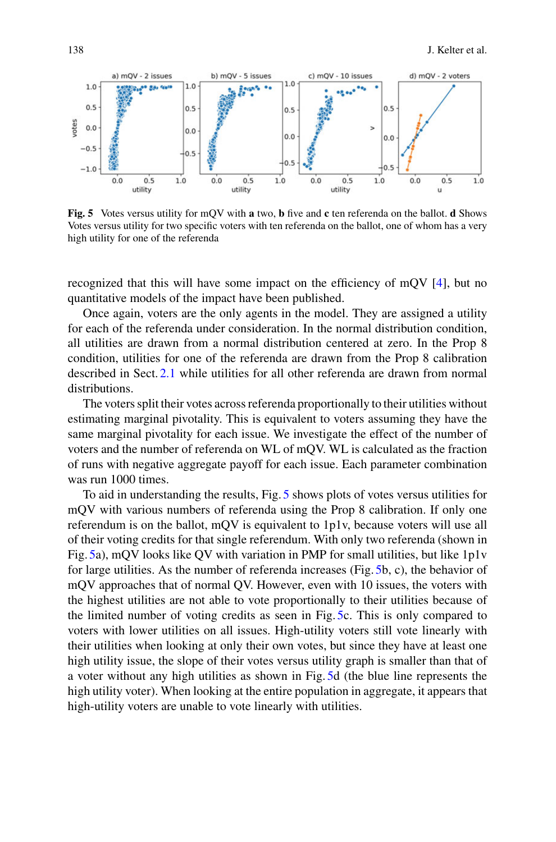

<span id="page-7-0"></span>**Fig. 5** Votes versus utility for mQV with **a** two, **b** five and **c** ten referenda on the ballot. **d** Shows Votes versus utility for two specific voters with ten referenda on the ballot, one of whom has a very high utility for one of the referenda

recognized that this will have some impact on the efficiency of mQV [\[4](#page-11-4)], but no quantitative models of the impact have been published.

Once again, voters are the only agents in the model. They are assigned a utility for each of the referenda under consideration. In the normal distribution condition, all utilities are drawn from a normal distribution centered at zero. In the Prop 8 condition, utilities for one of the referenda are drawn from the Prop 8 calibration described in Sect. [2.1](#page-2-0) while utilities for all other referenda are drawn from normal distributions.

The voters split their votes across referenda proportionally to their utilities without estimating marginal pivotality. This is equivalent to voters assuming they have the same marginal pivotality for each issue. We investigate the effect of the number of voters and the number of referenda on WL of mQV. WL is calculated as the fraction of runs with negative aggregate payoff for each issue. Each parameter combination was run 1000 times.

To aid in understanding the results, Fig. [5](#page-7-0) shows plots of votes versus utilities for mQV with various numbers of referenda using the Prop 8 calibration. If only one referendum is on the ballot, mQV is equivalent to 1p1v, because voters will use all of their voting credits for that single referendum. With only two referenda (shown in Fig. [5a](#page-7-0)), mQV looks like QV with variation in PMP for small utilities, but like 1p1v for large utilities. As the number of referenda increases (Fig. [5b](#page-7-0), c), the behavior of mQV approaches that of normal QV. However, even with 10 issues, the voters with the highest utilities are not able to vote proportionally to their utilities because of the limited number of voting credits as seen in Fig. [5c](#page-7-0). This is only compared to voters with lower utilities on all issues. High-utility voters still vote linearly with their utilities when looking at only their own votes, but since they have at least one high utility issue, the slope of their votes versus utility graph is smaller than that of a voter without any high utilities as shown in Fig. [5d](#page-7-0) (the blue line represents the high utility voter). When looking at the entire population in aggregate, it appears that high-utility voters are unable to vote linearly with utilities.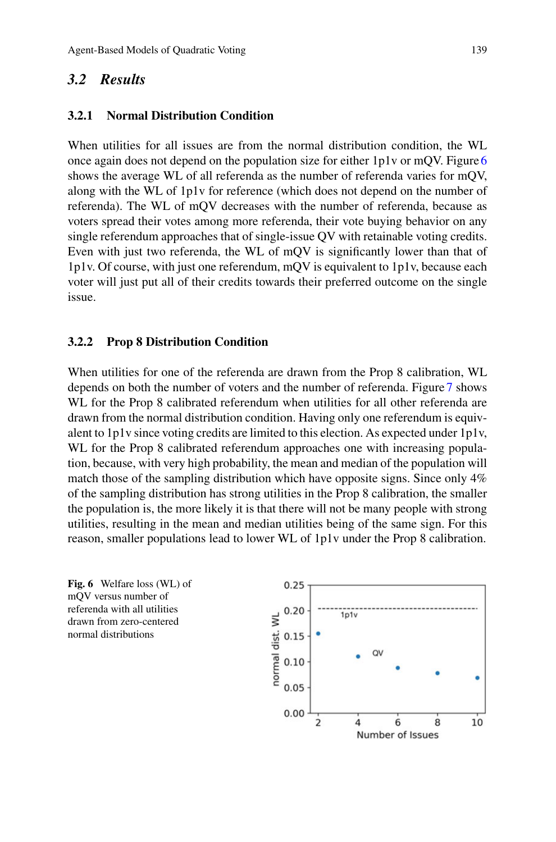#### *3.2 Results*

#### **3.2.1 Normal Distribution Condition**

When utilities for all issues are from the normal distribution condition, the WL once again does not depend on the population size for either  $1p1v$  or mOV. Figure [6](#page-8-0) shows the average WL of all referenda as the number of referenda varies for mQV, along with the WL of 1p1v for reference (which does not depend on the number of referenda). The WL of mQV decreases with the number of referenda, because as voters spread their votes among more referenda, their vote buying behavior on any single referendum approaches that of single-issue QV with retainable voting credits. Even with just two referenda, the WL of mQV is significantly lower than that of 1p1v. Of course, with just one referendum, mQV is equivalent to 1p1v, because each voter will just put all of their credits towards their preferred outcome on the single issue.

#### **3.2.2 Prop 8 Distribution Condition**

When utilities for one of the referenda are drawn from the Prop 8 calibration, WL depends on both the number of voters and the number of referenda. Figure [7](#page-9-0) shows WL for the Prop 8 calibrated referendum when utilities for all other referenda are drawn from the normal distribution condition. Having only one referendum is equivalent to 1p1v since voting credits are limited to this election. As expected under 1p1v, WL for the Prop 8 calibrated referendum approaches one with increasing population, because, with very high probability, the mean and median of the population will match those of the sampling distribution which have opposite signs. Since only 4% of the sampling distribution has strong utilities in the Prop 8 calibration, the smaller the population is, the more likely it is that there will not be many people with strong utilities, resulting in the mean and median utilities being of the same sign. For this reason, smaller populations lead to lower WL of 1p1v under the Prop 8 calibration.

<span id="page-8-0"></span>**Fig. 6** Welfare loss (WL) of mQV versus number of referenda with all utilities drawn from zero-centered normal distributions

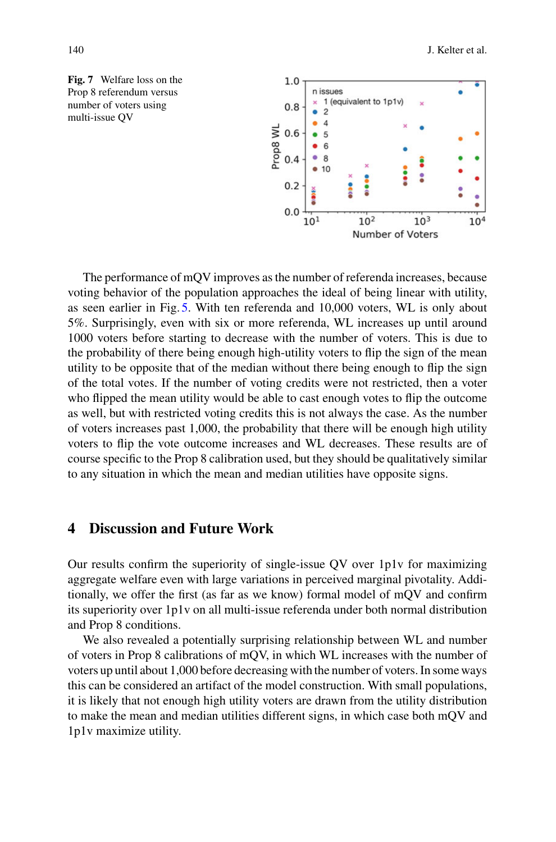<span id="page-9-0"></span>



The performance of mQV improves as the number of referenda increases, because voting behavior of the population approaches the ideal of being linear with utility, as seen earlier in Fig. [5.](#page-7-0) With ten referenda and 10,000 voters, WL is only about 5%. Surprisingly, even with six or more referenda, WL increases up until around 1000 voters before starting to decrease with the number of voters. This is due to the probability of there being enough high-utility voters to flip the sign of the mean utility to be opposite that of the median without there being enough to flip the sign of the total votes. If the number of voting credits were not restricted, then a voter who flipped the mean utility would be able to cast enough votes to flip the outcome as well, but with restricted voting credits this is not always the case. As the number of voters increases past 1,000, the probability that there will be enough high utility voters to flip the vote outcome increases and WL decreases. These results are of course specific to the Prop 8 calibration used, but they should be qualitatively similar to any situation in which the mean and median utilities have opposite signs.

# **4 Discussion and Future Work**

Our results confirm the superiority of single-issue QV over 1p1v for maximizing aggregate welfare even with large variations in perceived marginal pivotality. Additionally, we offer the first (as far as we know) formal model of mQV and confirm its superiority over 1p1v on all multi-issue referenda under both normal distribution and Prop 8 conditions.

We also revealed a potentially surprising relationship between WL and number of voters in Prop 8 calibrations of mQV, in which WL increases with the number of voters up until about 1,000 before decreasing with the number of voters. In some ways this can be considered an artifact of the model construction. With small populations, it is likely that not enough high utility voters are drawn from the utility distribution to make the mean and median utilities different signs, in which case both mQV and 1p1v maximize utility.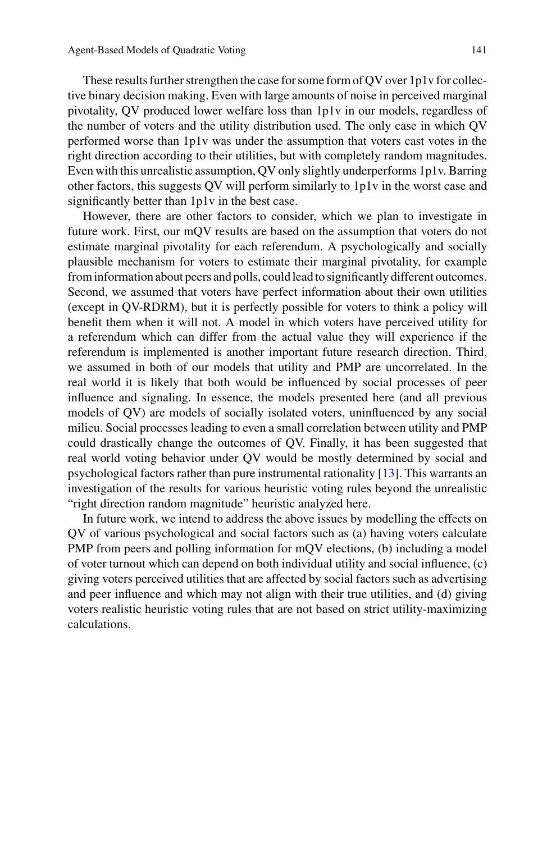These results further strengthen the case for some form of QV over 1p1v for collective binary decision making. Even with large amounts of noise in perceived marginal pivotality, QV produced lower welfare loss than 1p1v in our models, regardless of the number of voters and the utility distribution used. The only case in which QV performed worse than 1p1v was under the assumption that voters cast votes in the right direction according to their utilities, but with completely random magnitudes. Even with this unrealistic assumption, QV only slightly underperforms 1p1v. Barring other factors, this suggests QV will perform similarly to 1p1v in the worst case and significantly better than 1p1v in the best case.

However, there are other factors to consider, which we plan to investigate in future work. First, our mQV results are based on the assumption that voters do not estimate marginal pivotality for each referendum. A psychologically and socially plausible mechanism for voters to estimate their marginal pivotality, for example from information about peers and polls, could lead to significantly different outcomes. Second, we assumed that voters have perfect information about their own utilities (except in QV-RDRM), but it is perfectly possible for voters to think a policy will benefit them when it will not. A model in which voters have perceived utility for a referendum which can differ from the actual value they will experience if the referendum is implemented is another important future research direction. Third, we assumed in both of our models that utility and PMP are uncorrelated. In the real world it is likely that both would be influenced by social processes of peer influence and signaling. In essence, the models presented here (and all previous models of QV) are models of socially isolated voters, uninfluenced by any social milieu. Social processes leading to even a small correlation between utility and PMP could drastically change the outcomes of QV. Finally, it has been suggested that real world voting behavior under QV would be mostly determined by social and psychological factors rather than pure instrumental rationality [\[13](#page-11-12)]. This warrants an investigation of the results for various heuristic voting rules beyond the unrealistic "right direction random magnitude" heuristic analyzed here.

In future work, we intend to address the above issues by modelling the effects on QV of various psychological and social factors such as (a) having voters calculate PMP from peers and polling information for mQV elections, (b) including a model of voter turnout which can depend on both individual utility and social influence, (c) giving voters perceived utilities that are affected by social factors such as advertising and peer influence and which may not align with their true utilities, and (d) giving voters realistic heuristic voting rules that are not based on strict utility-maximizing calculations.